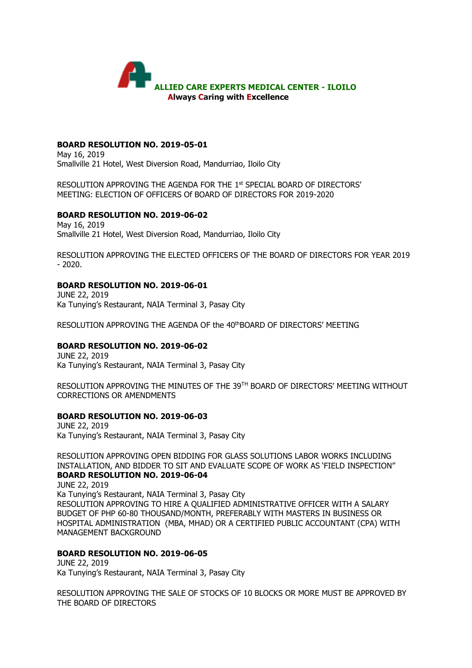

## **BOARD RESOLUTION NO. 2019-05-01**

May 16, 2019 Smallville 21 Hotel, West Diversion Road, Mandurriao, Iloilo City

RESOLUTION APPROVING THE AGENDA FOR THE 1st SPECIAL BOARD OF DIRECTORS' MEETING: ELECTION OF OFFICERS Of BOARD OF DIRECTORS FOR 2019-2020

#### **BOARD RESOLUTION NO. 2019-06-02**

May 16, 2019 Smallville 21 Hotel, West Diversion Road, Mandurriao, Iloilo City

RESOLUTION APPROVING THE ELECTED OFFICERS OF THE BOARD OF DIRECTORS FOR YEAR 2019 - 2020.

## **BOARD RESOLUTION NO. 2019-06-01**

JUNE 22, 2019 Ka Tunying's Restaurant, NAIA Terminal 3, Pasay City

RESOLUTION APPROVING THE AGENDA OF the 40thBOARD OF DIRECTORS' MEETING

#### **BOARD RESOLUTION NO. 2019-06-02**

JUNE 22, 2019 Ka Tunying's Restaurant, NAIA Terminal 3, Pasay City

RESOLUTION APPROVING THE MINUTES OF THE 39TH BOARD OF DIRECTORS' MEETING WITHOUT CORRECTIONS OR AMENDMENTS

#### **BOARD RESOLUTION NO. 2019-06-03**

JUNE 22, 2019 Ka Tunying's Restaurant, NAIA Terminal 3, Pasay City

RESOLUTION APPROVING OPEN BIDDING FOR GLASS SOLUTIONS LABOR WORKS INCLUDING INSTALLATION, AND BIDDER TO SIT AND EVALUATE SCOPE OF WORK AS 'FIELD INSPECTION" **BOARD RESOLUTION NO. 2019-06-04**

JUNE 22, 2019 Ka Tunying's Restaurant, NAIA Terminal 3, Pasay City RESOLUTION APPROVING TO HIRE A QUALIFIED ADMINISTRATIVE OFFICER WITH A SALARY BUDGET OF PHP 60-80 THOUSAND/MONTH, PREFERABLY WITH MASTERS IN BUSINESS OR HOSPITAL ADMINISTRATION (MBA, MHAD) OR A CERTIFIED PUBLIC ACCOUNTANT (CPA) WITH MANAGEMENT BACKGROUND

### **BOARD RESOLUTION NO. 2019-06-05**

JUNE 22, 2019 Ka Tunying's Restaurant, NAIA Terminal 3, Pasay City

RESOLUTION APPROVING THE SALE OF STOCKS OF 10 BLOCKS OR MORE MUST BE APPROVED BY THE BOARD OF DIRECTORS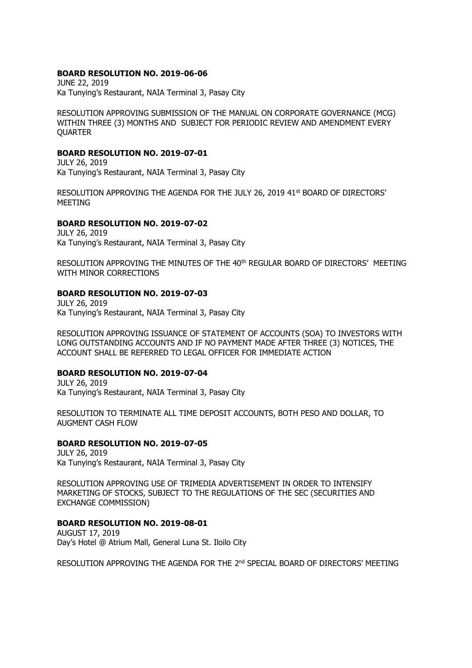#### **BOARD RESOLUTION NO. 2019-06-06**

JUNE 22, 2019 Ka Tunying's Restaurant, NAIA Terminal 3, Pasay City

RESOLUTION APPROVING SUBMISSION OF THE MANUAL ON CORPORATE GOVERNANCE (MCG) WITHIN THREE (3) MONTHS AND SUBJECT FOR PERIODIC REVIEW AND AMENDMENT EVERY **QUARTER** 

#### **BOARD RESOLUTION NO. 2019-07-01**

JULY 26, 2019 Ka Tunying's Restaurant, NAIA Terminal 3, Pasay City

RESOLUTION APPROVING THE AGENDA FOR THE JULY 26, 2019 41st BOARD OF DIRECTORS' MEETING

## **BOARD RESOLUTION NO. 2019-07-02**

JULY 26, 2019 Ka Tunying's Restaurant, NAIA Terminal 3, Pasay City

RESOLUTION APPROVING THE MINUTES OF THE 40th REGULAR BOARD OF DIRECTORS' MEETING WITH MINOR CORRECTIONS

# **BOARD RESOLUTION NO. 2019-07-03**

JULY 26, 2019 Ka Tunying's Restaurant, NAIA Terminal 3, Pasay City

RESOLUTION APPROVING ISSUANCE OF STATEMENT OF ACCOUNTS (SOA) TO INVESTORS WITH LONG OUTSTANDING ACCOUNTS AND IF NO PAYMENT MADE AFTER THREE (3) NOTICES, THE ACCOUNT SHALL BE REFERRED TO LEGAL OFFICER FOR IMMEDIATE ACTION

## **BOARD RESOLUTION NO. 2019-07-04**

JULY 26, 2019 Ka Tunying's Restaurant, NAIA Terminal 3, Pasay City

RESOLUTION TO TERMINATE ALL TIME DEPOSIT ACCOUNTS, BOTH PESO AND DOLLAR, TO AUGMENT CASH FLOW

#### **BOARD RESOLUTION NO. 2019-07-05**

JULY 26, 2019 Ka Tunying's Restaurant, NAIA Terminal 3, Pasay City

RESOLUTION APPROVING USE OF TRIMEDIA ADVERTISEMENT IN ORDER TO INTENSIFY MARKETING OF STOCKS, SUBJECT TO THE REGULATIONS OF THE SEC (SECURITIES AND EXCHANGE COMMISSION)

#### **BOARD RESOLUTION NO. 2019-08-01**

AUGUST 17, 2019 Day's Hotel @ Atrium Mall, General Luna St. Iloilo City

RESOLUTION APPROVING THE AGENDA FOR THE 2<sup>nd</sup> SPECIAL BOARD OF DIRECTORS' MEETING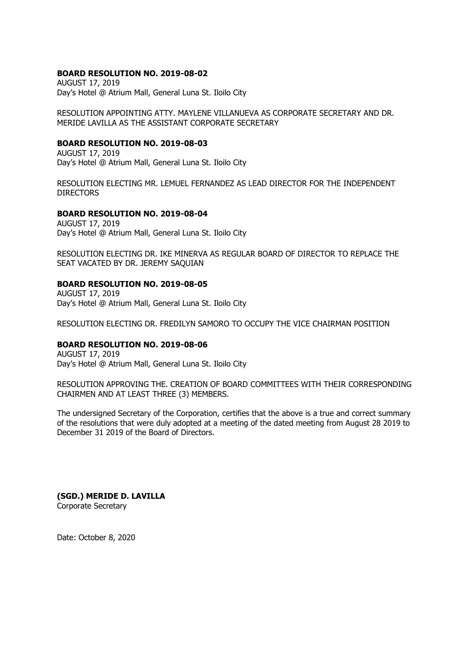# **BOARD RESOLUTION NO. 2019-08-02**

AUGUST 17, 2019 Day's Hotel @ Atrium Mall, General Luna St. Iloilo City

RESOLUTION APPOINTING ATTY. MAYLENE VILLANUEVA AS CORPORATE SECRETARY AND DR. MERIDE LAVILLA AS THE ASSISTANT CORPORATE SECRETARY

# **BOARD RESOLUTION NO. 2019-08-03**

AUGUST 17, 2019 Day's Hotel @ Atrium Mall, General Luna St. Iloilo City

RESOLUTION ELECTING MR. LEMUEL FERNANDEZ AS LEAD DIRECTOR FOR THE INDEPENDENT **DIRECTORS** 

#### **BOARD RESOLUTION NO. 2019-08-04**

AUGUST 17, 2019 Day's Hotel @ Atrium Mall, General Luna St. Iloilo City

RESOLUTION ELECTING DR. IKE MINERVA AS REGULAR BOARD OF DIRECTOR TO REPLACE THE SEAT VACATED BY DR. JEREMY SAQUIAN

# **BOARD RESOLUTION NO. 2019-08-05**

AUGUST 17, 2019 Day's Hotel @ Atrium Mall, General Luna St. Iloilo City

RESOLUTION ELECTING DR. FREDILYN SAMORO TO OCCUPY THE VICE CHAIRMAN POSITION

# **BOARD RESOLUTION NO. 2019-08-06**

AUGUST 17, 2019 Day's Hotel @ Atrium Mall, General Luna St. Iloilo City

RESOLUTION APPROVING THE. CREATION OF BOARD COMMITTEES WITH THEIR CORRESPONDING CHAIRMEN AND AT LEAST THREE (3) MEMBERS.

The undersigned Secretary of the Corporation, certifies that the above is a true and correct summary of the resolutions that were duly adopted at a meeting of the dated meeting from August 28 2019 to December 31 2019 of the Board of Directors.

**(SGD.) MERIDE D. LAVILLA**  Corporate Secretary

Date: October 8, 2020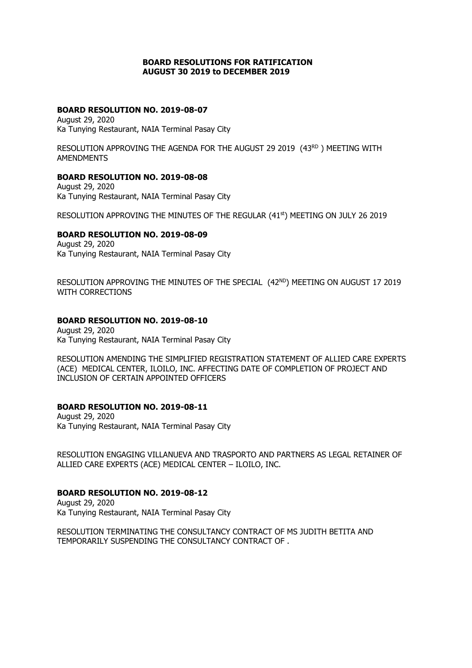## **BOARD RESOLUTIONS FOR RATIFICATION AUGUST 30 2019 to DECEMBER 2019**

# **BOARD RESOLUTION NO. 2019-08-07**

August 29, 2020 Ka Tunying Restaurant, NAIA Terminal Pasay City

RESOLUTION APPROVING THE AGENDA FOR THE AUGUST 29 2019 (43RD) MEETING WITH AMENDMENTS

#### **BOARD RESOLUTION NO. 2019-08-08**

August 29, 2020 Ka Tunying Restaurant, NAIA Terminal Pasay City

RESOLUTION APPROVING THE MINUTES OF THE REGULAR (41st) MEETING ON JULY 26 2019

## **BOARD RESOLUTION NO. 2019-08-09**

August 29, 2020 Ka Tunying Restaurant, NAIA Terminal Pasay City

RESOLUTION APPROVING THE MINUTES OF THE SPECIAL (42ND) MEETING ON AUGUST 17 2019 WITH CORRECTIONS

#### **BOARD RESOLUTION NO. 2019-08-10**

August 29, 2020 Ka Tunying Restaurant, NAIA Terminal Pasay City

RESOLUTION AMENDING THE SIMPLIFIED REGISTRATION STATEMENT OF ALLIED CARE EXPERTS (ACE) MEDICAL CENTER, ILOILO, INC. AFFECTING DATE OF COMPLETION OF PROJECT AND INCLUSION OF CERTAIN APPOINTED OFFICERS

## **BOARD RESOLUTION NO. 2019-08-11**

August 29, 2020 Ka Tunying Restaurant, NAIA Terminal Pasay City

RESOLUTION ENGAGING VILLANUEVA AND TRASPORTO AND PARTNERS AS LEGAL RETAINER OF ALLIED CARE EXPERTS (ACE) MEDICAL CENTER – ILOILO, INC.

# **BOARD RESOLUTION NO. 2019-08-12**

August 29, 2020 Ka Tunying Restaurant, NAIA Terminal Pasay City

RESOLUTION TERMINATING THE CONSULTANCY CONTRACT OF MS JUDITH BETITA AND TEMPORARILY SUSPENDING THE CONSULTANCY CONTRACT OF .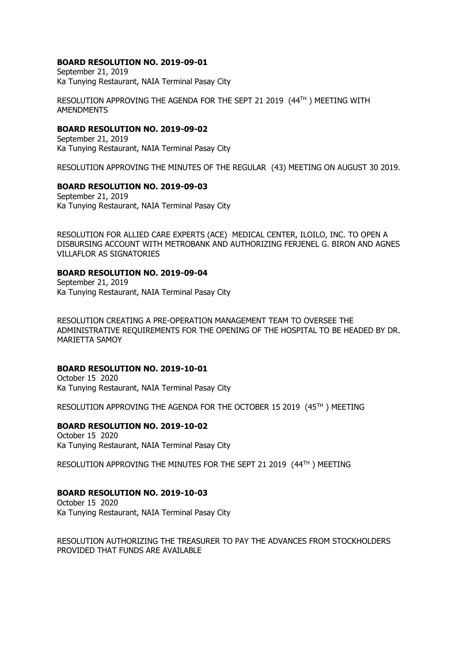# **BOARD RESOLUTION NO. 2019-09-01**

September 21, 2019 Ka Tunying Restaurant, NAIA Terminal Pasay City

RESOLUTION APPROVING THE AGENDA FOR THE SEPT 21 2019 (44TH ) MEETING WITH AMENDMENTS

# **BOARD RESOLUTION NO. 2019-09-02**

September 21, 2019 Ka Tunying Restaurant, NAIA Terminal Pasay City

RESOLUTION APPROVING THE MINUTES OF THE REGULAR (43) MEETING ON AUGUST 30 2019.

## **BOARD RESOLUTION NO. 2019-09-03**

September 21, 2019 Ka Tunying Restaurant, NAIA Terminal Pasay City

RESOLUTION FOR ALLIED CARE EXPERTS (ACE) MEDICAL CENTER, ILOILO, INC. TO OPEN A DISBURSING ACCOUNT WITH METROBANK AND AUTHORIZING FERJENEL G. BIRON AND AGNES VILLAFLOR AS SIGNATORIES

#### **BOARD RESOLUTION NO. 2019-09-04**

September 21, 2019 Ka Tunying Restaurant, NAIA Terminal Pasay City

RESOLUTION CREATING A PRE-OPERATION MANAGEMENT TEAM TO OVERSEE THE ADMINISTRATIVE REQUIREMENTS FOR THE OPENING OF THE HOSPITAL TO BE HEADED BY DR. MARIETTA SAMOY

## **BOARD RESOLUTION NO. 2019-10-01**

October 15 2020 Ka Tunying Restaurant, NAIA Terminal Pasay City

RESOLUTION APPROVING THE AGENDA FOR THE OCTOBER 15 2019 (45TH ) MEETING

## **BOARD RESOLUTION NO. 2019-10-02**

October 15 2020 Ka Tunying Restaurant, NAIA Terminal Pasay City

RESOLUTION APPROVING THE MINUTES FOR THE SEPT 21 2019 (44TH ) MEETING

## **BOARD RESOLUTION NO. 2019-10-03**

October 15 2020 Ka Tunying Restaurant, NAIA Terminal Pasay City

RESOLUTION AUTHORIZING THE TREASURER TO PAY THE ADVANCES FROM STOCKHOLDERS PROVIDED THAT FUNDS ARE AVAILABLE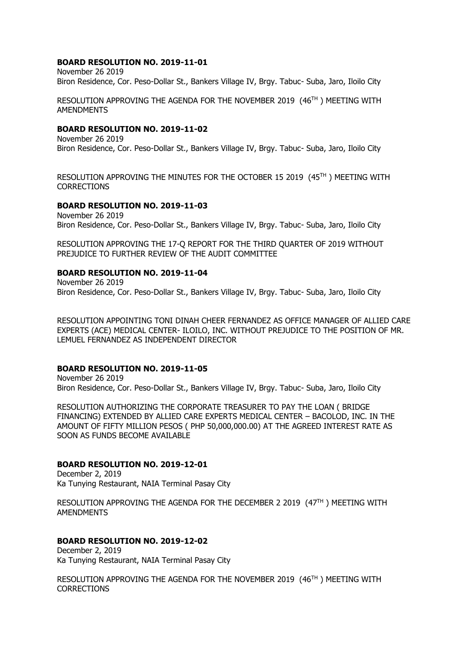### **BOARD RESOLUTION NO. 2019-11-01**

November 26 2019 Biron Residence, Cor. Peso-Dollar St., Bankers Village IV, Brgy. Tabuc- Suba, Jaro, Iloilo City

RESOLUTION APPROVING THE AGENDA FOR THE NOVEMBER 2019 (46TH ) MEETING WITH AMENDMENTS

### **BOARD RESOLUTION NO. 2019-11-02**

November 26 2019 Biron Residence, Cor. Peso-Dollar St., Bankers Village IV, Brgy. Tabuc- Suba, Jaro, Iloilo City

RESOLUTION APPROVING THE MINUTES FOR THE OCTOBER 15 2019 (45TH ) MEETING WITH **CORRECTIONS** 

#### **BOARD RESOLUTION NO. 2019-11-03**

November 26 2019 Biron Residence, Cor. Peso-Dollar St., Bankers Village IV, Brgy. Tabuc- Suba, Jaro, Iloilo City

RESOLUTION APPROVING THE 17-Q REPORT FOR THE THIRD QUARTER OF 2019 WITHOUT PREJUDICE TO FURTHER REVIEW OF THE AUDIT COMMITTEE

#### **BOARD RESOLUTION NO. 2019-11-04**

November 26 2019 Biron Residence, Cor. Peso-Dollar St., Bankers Village IV, Brgy. Tabuc- Suba, Jaro, Iloilo City

RESOLUTION APPOINTING TONI DINAH CHEER FERNANDEZ AS OFFICE MANAGER OF ALLIED CARE EXPERTS (ACE) MEDICAL CENTER- ILOILO, INC. WITHOUT PREJUDICE TO THE POSITION OF MR. LEMUEL FERNANDEZ AS INDEPENDENT DIRECTOR

## **BOARD RESOLUTION NO. 2019-11-05**

November 26 2019 Biron Residence, Cor. Peso-Dollar St., Bankers Village IV, Brgy. Tabuc- Suba, Jaro, Iloilo City

RESOLUTION AUTHORIZING THE CORPORATE TREASURER TO PAY THE LOAN ( BRIDGE FINANCING) EXTENDED BY ALLIED CARE EXPERTS MEDICAL CENTER – BACOLOD, INC. IN THE AMOUNT OF FIFTY MILLION PESOS ( PHP 50,000,000.00) AT THE AGREED INTEREST RATE AS SOON AS FUNDS BECOME AVAILABLE

## **BOARD RESOLUTION NO. 2019-12-01**

December 2, 2019 Ka Tunying Restaurant, NAIA Terminal Pasay City

RESOLUTION APPROVING THE AGENDA FOR THE DECEMBER 2 2019 (47TH) MEETING WITH AMENDMENTS

## **BOARD RESOLUTION NO. 2019-12-02**

December 2, 2019 Ka Tunying Restaurant, NAIA Terminal Pasay City

RESOLUTION APPROVING THE AGENDA FOR THE NOVEMBER 2019 (46TH ) MEETING WITH **CORRECTIONS**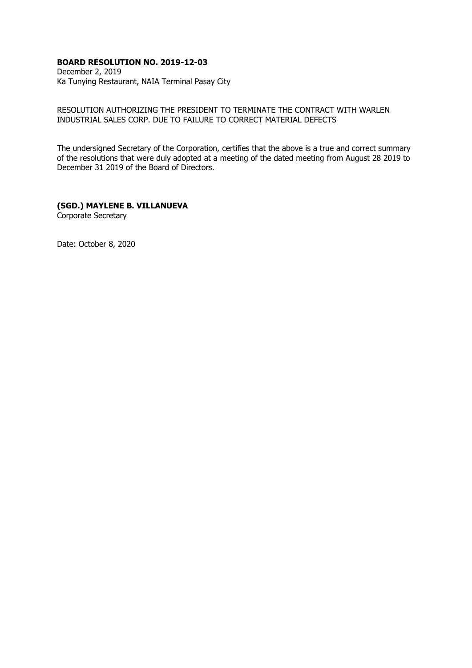# **BOARD RESOLUTION NO. 2019-12-03**

December 2, 2019 Ka Tunying Restaurant, NAIA Terminal Pasay City

RESOLUTION AUTHORIZING THE PRESIDENT TO TERMINATE THE CONTRACT WITH WARLEN INDUSTRIAL SALES CORP. DUE TO FAILURE TO CORRECT MATERIAL DEFECTS

The undersigned Secretary of the Corporation, certifies that the above is a true and correct summary of the resolutions that were duly adopted at a meeting of the dated meeting from August 28 2019 to December 31 2019 of the Board of Directors.

# **(SGD.) MAYLENE B. VILLANUEVA**

Corporate Secretary

Date: October 8, 2020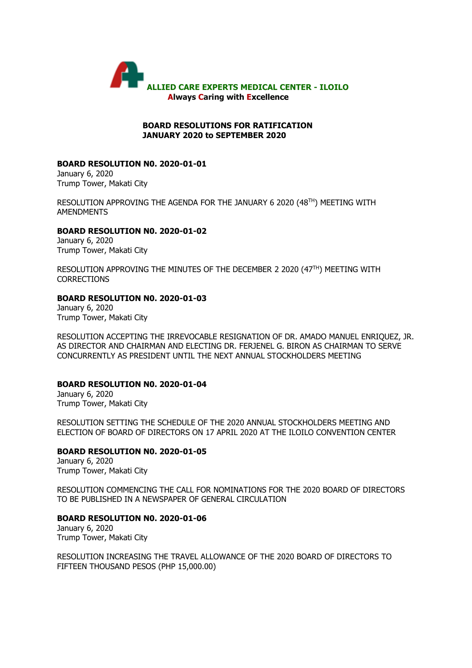

#### **BOARD RESOLUTIONS FOR RATIFICATION JANUARY 2020 to SEPTEMBER 2020**

### **BOARD RESOLUTION N0. 2020-01-01**

January 6, 2020 Trump Tower, Makati City

RESOLUTION APPROVING THE AGENDA FOR THE JANUARY 6 2020 (48TH) MEETING WITH AMENDMENTS

#### **BOARD RESOLUTION N0. 2020-01-02**

January 6, 2020 Trump Tower, Makati City

RESOLUTION APPROVING THE MINUTES OF THE DECEMBER 2 2020 (47TH) MEETING WITH **CORRECTIONS** 

#### **BOARD RESOLUTION N0. 2020-01-03**

January 6, 2020 Trump Tower, Makati City

RESOLUTION ACCEPTING THE IRREVOCABLE RESIGNATION OF DR. AMADO MANUEL ENRIQUEZ, JR. AS DIRECTOR AND CHAIRMAN AND ELECTING DR. FERJENEL G. BIRON AS CHAIRMAN TO SERVE CONCURRENTLY AS PRESIDENT UNTIL THE NEXT ANNUAL STOCKHOLDERS MEETING

## **BOARD RESOLUTION N0. 2020-01-04**

January 6, 2020 Trump Tower, Makati City

RESOLUTION SETTING THE SCHEDULE OF THE 2020 ANNUAL STOCKHOLDERS MEETING AND ELECTION OF BOARD OF DIRECTORS ON 17 APRIL 2020 AT THE ILOILO CONVENTION CENTER

## **BOARD RESOLUTION N0. 2020-01-05**

January 6, 2020 Trump Tower, Makati City

RESOLUTION COMMENCING THE CALL FOR NOMINATIONS FOR THE 2020 BOARD OF DIRECTORS TO BE PUBLISHED IN A NEWSPAPER OF GENERAL CIRCULATION

## **BOARD RESOLUTION N0. 2020-01-06**

January 6, 2020 Trump Tower, Makati City

RESOLUTION INCREASING THE TRAVEL ALLOWANCE OF THE 2020 BOARD OF DIRECTORS TO FIFTEEN THOUSAND PESOS (PHP 15,000.00)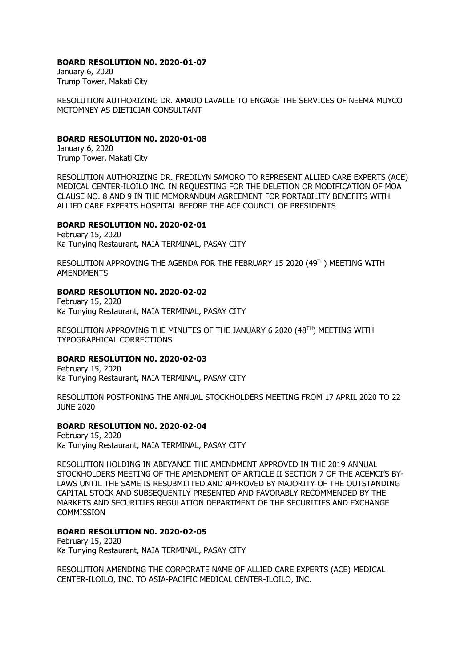## **BOARD RESOLUTION N0. 2020-01-07**

January 6, 2020 Trump Tower, Makati City

RESOLUTION AUTHORIZING DR. AMADO LAVALLE TO ENGAGE THE SERVICES OF NEEMA MUYCO MCTOMNEY AS DIETICIAN CONSULTANT

## **BOARD RESOLUTION N0. 2020-01-08**

January 6, 2020 Trump Tower, Makati City

RESOLUTION AUTHORIZING DR. FREDILYN SAMORO TO REPRESENT ALLIED CARE EXPERTS (ACE) MEDICAL CENTER-ILOILO INC. IN REQUESTING FOR THE DELETION OR MODIFICATION OF MOA CLAUSE NO. 8 AND 9 IN THE MEMORANDUM AGREEMENT FOR PORTABILITY BENEFITS WITH ALLIED CARE EXPERTS HOSPITAL BEFORE THE ACE COUNCIL OF PRESIDENTS

# **BOARD RESOLUTION N0. 2020-02-01**

February 15, 2020 Ka Tunying Restaurant, NAIA TERMINAL, PASAY CITY

RESOLUTION APPROVING THE AGENDA FOR THE FEBRUARY 15 2020 (49TH) MEETING WITH AMENDMENTS

## **BOARD RESOLUTION N0. 2020-02-02**

February 15, 2020 Ka Tunying Restaurant, NAIA TERMINAL, PASAY CITY

RESOLUTION APPROVING THE MINUTES OF THE JANUARY 6 2020 (48TH) MEETING WITH TYPOGRAPHICAL CORRECTIONS

## **BOARD RESOLUTION N0. 2020-02-03**

February 15, 2020 Ka Tunying Restaurant, NAIA TERMINAL, PASAY CITY

RESOLUTION POSTPONING THE ANNUAL STOCKHOLDERS MEETING FROM 17 APRIL 2020 TO 22 JUNE 2020

# **BOARD RESOLUTION N0. 2020-02-04**

February 15, 2020 Ka Tunying Restaurant, NAIA TERMINAL, PASAY CITY

RESOLUTION HOLDING IN ABEYANCE THE AMENDMENT APPROVED IN THE 2019 ANNUAL STOCKHOLDERS MEETING OF THE AMENDMENT OF ARTICLE II SECTION 7 OF THE ACEMCI'S BY-LAWS UNTIL THE SAME IS RESUBMITTED AND APPROVED BY MAJORITY OF THE OUTSTANDING CAPITAL STOCK AND SUBSEQUENTLY PRESENTED AND FAVORABLY RECOMMENDED BY THE MARKETS AND SECURITIES REGULATION DEPARTMENT OF THE SECURITIES AND EXCHANGE **COMMISSION** 

# **BOARD RESOLUTION N0. 2020-02-05**

February 15, 2020 Ka Tunying Restaurant, NAIA TERMINAL, PASAY CITY

RESOLUTION AMENDING THE CORPORATE NAME OF ALLIED CARE EXPERTS (ACE) MEDICAL CENTER-ILOILO, INC. TO ASIA-PACIFIC MEDICAL CENTER-ILOILO, INC.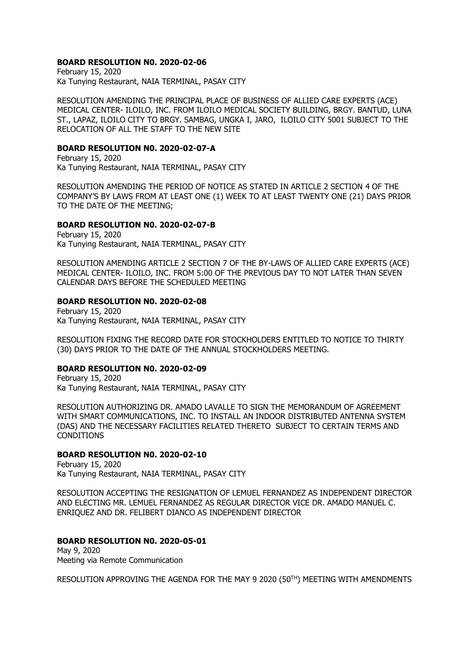### **BOARD RESOLUTION N0. 2020-02-06**

February 15, 2020 Ka Tunying Restaurant, NAIA TERMINAL, PASAY CITY

RESOLUTION AMENDING THE PRINCIPAL PLACE OF BUSINESS OF ALLIED CARE EXPERTS (ACE) MEDICAL CENTER- ILOILO, INC. FROM ILOILO MEDICAL SOCIETY BUILDING, BRGY. BANTUD, LUNA ST., LAPAZ, ILOILO CITY TO BRGY. SAMBAG, UNGKA I, JARO, ILOILO CITY 5001 SUBJECT TO THE RELOCATION OF ALL THE STAFF TO THE NEW SITE

#### **BOARD RESOLUTION N0. 2020-02-07-A**

February 15, 2020 Ka Tunying Restaurant, NAIA TERMINAL, PASAY CITY

RESOLUTION AMENDING THE PERIOD OF NOTICE AS STATED IN ARTICLE 2 SECTION 4 OF THE COMPANY'S BY LAWS FROM AT LEAST ONE (1) WEEK TO AT LEAST TWENTY ONE (21) DAYS PRIOR TO THE DATE OF THE MEETING;

#### **BOARD RESOLUTION N0. 2020-02-07-B**

February 15, 2020 Ka Tunying Restaurant, NAIA TERMINAL, PASAY CITY

RESOLUTION AMENDING ARTICLE 2 SECTION 7 OF THE BY-LAWS OF ALLIED CARE EXPERTS (ACE) MEDICAL CENTER- ILOILO, INC. FROM 5:00 OF THE PREVIOUS DAY TO NOT LATER THAN SEVEN CALENDAR DAYS BEFORE THE SCHEDULED MEETING

#### **BOARD RESOLUTION N0. 2020-02-08**

February 15, 2020 Ka Tunying Restaurant, NAIA TERMINAL, PASAY CITY

RESOLUTION FIXING THE RECORD DATE FOR STOCKHOLDERS ENTITLED TO NOTICE TO THIRTY (30) DAYS PRIOR TO THE DATE OF THE ANNUAL STOCKHOLDERS MEETING.

#### **BOARD RESOLUTION N0. 2020-02-09**

February 15, 2020 Ka Tunying Restaurant, NAIA TERMINAL, PASAY CITY

RESOLUTION AUTHORIZING DR. AMADO LAVALLE TO SIGN THE MEMORANDUM OF AGREEMENT WITH SMART COMMUNICATIONS, INC. TO INSTALL AN INDOOR DISTRIBUTED ANTENNA SYSTEM (DAS) AND THE NECESSARY FACILITIES RELATED THERETO SUBJECT TO CERTAIN TERMS AND **CONDITIONS** 

### **BOARD RESOLUTION N0. 2020-02-10**

February 15, 2020 Ka Tunying Restaurant, NAIA TERMINAL, PASAY CITY

RESOLUTION ACCEPTING THE RESIGNATION OF LEMUEL FERNANDEZ AS INDEPENDENT DIRECTOR AND ELECTING MR. LEMUEL FERNANDEZ AS REGULAR DIRECTOR VICE DR. AMADO MANUEL C. ENRIQUEZ AND DR. FELIBERT DIANCO AS INDEPENDENT DIRECTOR

## **BOARD RESOLUTION N0. 2020-05-01**

May 9, 2020 Meeting via Remote Communication

RESOLUTION APPROVING THE AGENDA FOR THE MAY 9 2020 (50TH) MEETING WITH AMENDMENTS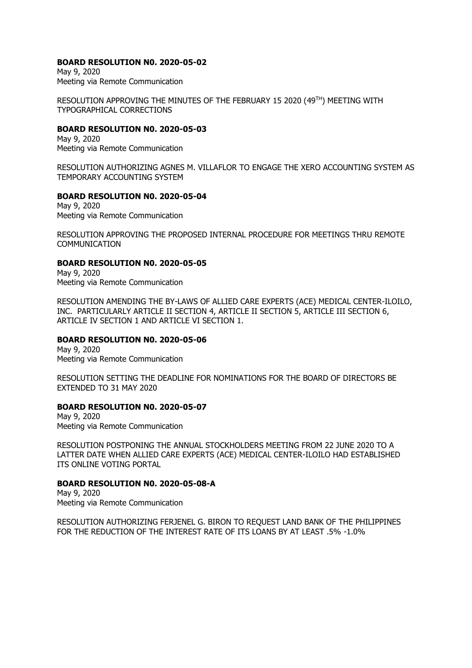### **BOARD RESOLUTION N0. 2020-05-02**

May 9, 2020 Meeting via Remote Communication

RESOLUTION APPROVING THE MINUTES OF THE FEBRUARY 15 2020 (49TH) MEETING WITH TYPOGRAPHICAL CORRECTIONS

### **BOARD RESOLUTION N0. 2020-05-03**

May 9, 2020 Meeting via Remote Communication

RESOLUTION AUTHORIZING AGNES M. VILLAFLOR TO ENGAGE THE XERO ACCOUNTING SYSTEM AS TEMPORARY ACCOUNTING SYSTEM

# **BOARD RESOLUTION N0. 2020-05-04**

May 9, 2020 Meeting via Remote Communication

RESOLUTION APPROVING THE PROPOSED INTERNAL PROCEDURE FOR MEETINGS THRU REMOTE COMMUNICATION

## **BOARD RESOLUTION N0. 2020-05-05**

May 9, 2020 Meeting via Remote Communication

RESOLUTION AMENDING THE BY-LAWS OF ALLIED CARE EXPERTS (ACE) MEDICAL CENTER-ILOILO, INC. PARTICULARLY ARTICLE II SECTION 4, ARTICLE II SECTION 5, ARTICLE III SECTION 6, ARTICLE IV SECTION 1 AND ARTICLE VI SECTION 1.

## **BOARD RESOLUTION N0. 2020-05-06**

May 9, 2020 Meeting via Remote Communication

RESOLUTION SETTING THE DEADLINE FOR NOMINATIONS FOR THE BOARD OF DIRECTORS BE EXTENDED TO 31 MAY 2020

## **BOARD RESOLUTION N0. 2020-05-07**

May 9, 2020 Meeting via Remote Communication

RESOLUTION POSTPONING THE ANNUAL STOCKHOLDERS MEETING FROM 22 JUNE 2020 TO A LATTER DATE WHEN ALLIED CARE EXPERTS (ACE) MEDICAL CENTER-ILOILO HAD ESTABLISHED ITS ONLINE VOTING PORTAL

## **BOARD RESOLUTION N0. 2020-05-08-A**

May 9, 2020 Meeting via Remote Communication

RESOLUTION AUTHORIZING FERJENEL G. BIRON TO REQUEST LAND BANK OF THE PHILIPPINES FOR THE REDUCTION OF THE INTEREST RATE OF ITS LOANS BY AT LEAST .5% -1.0%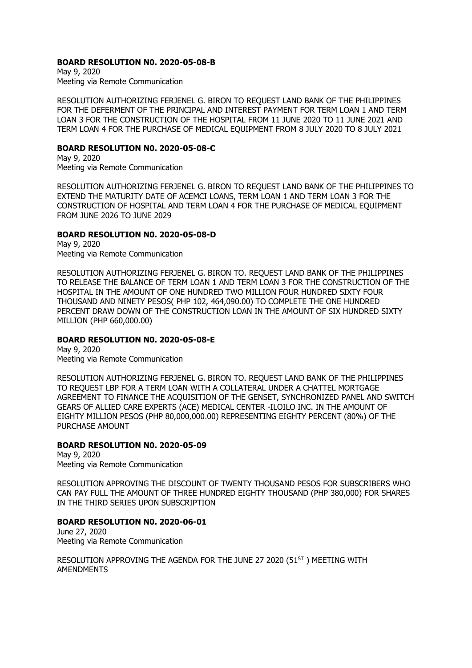## **BOARD RESOLUTION N0. 2020-05-08-B**

May 9, 2020 Meeting via Remote Communication

RESOLUTION AUTHORIZING FERJENEL G. BIRON TO REQUEST LAND BANK OF THE PHILIPPINES FOR THE DEFERMENT OF THE PRINCIPAL AND INTEREST PAYMENT FOR TERM LOAN 1 AND TERM LOAN 3 FOR THE CONSTRUCTION OF THE HOSPITAL FROM 11 JUNE 2020 TO 11 JUNE 2021 AND TERM LOAN 4 FOR THE PURCHASE OF MEDICAL EQUIPMENT FROM 8 JULY 2020 TO 8 JULY 2021

### **BOARD RESOLUTION N0. 2020-05-08-C**

May 9, 2020 Meeting via Remote Communication

RESOLUTION AUTHORIZING FERJENEL G. BIRON TO REQUEST LAND BANK OF THE PHILIPPINES TO EXTEND THE MATURITY DATE OF ACEMCI LOANS, TERM LOAN 1 AND TERM LOAN 3 FOR THE CONSTRUCTION OF HOSPITAL AND TERM LOAN 4 FOR THE PURCHASE OF MEDICAL EQUIPMENT FROM JUNE 2026 TO JUNE 2029

#### **BOARD RESOLUTION N0. 2020-05-08-D**

May 9, 2020 Meeting via Remote Communication

RESOLUTION AUTHORIZING FERJENEL G. BIRON TO. REQUEST LAND BANK OF THE PHILIPPINES TO RELEASE THE BALANCE OF TERM LOAN 1 AND TERM LOAN 3 FOR THE CONSTRUCTION OF THE HOSPITAL IN THE AMOUNT OF ONE HUNDRED TWO MILLION FOUR HUNDRED SIXTY FOUR THOUSAND AND NINETY PESOS( PHP 102, 464,090.00) TO COMPLETE THE ONE HUNDRED PERCENT DRAW DOWN OF THE CONSTRUCTION LOAN IN THE AMOUNT OF SIX HUNDRED SIXTY MILLION (PHP 660,000.00)

## **BOARD RESOLUTION N0. 2020-05-08-E**

May 9, 2020 Meeting via Remote Communication

RESOLUTION AUTHORIZING FERJENEL G. BIRON TO. REQUEST LAND BANK OF THE PHILIPPINES TO REQUEST LBP FOR A TERM LOAN WITH A COLLATERAL UNDER A CHATTEL MORTGAGE AGREEMENT TO FINANCE THE ACQUISITION OF THE GENSET, SYNCHRONIZED PANEL AND SWITCH GEARS OF ALLIED CARE EXPERTS (ACE) MEDICAL CENTER -ILOILO INC. IN THE AMOUNT OF EIGHTY MILLION PESOS (PHP 80,000,000.00) REPRESENTING EIGHTY PERCENT (80%) OF THE PURCHASE AMOUNT

## **BOARD RESOLUTION N0. 2020-05-09**

May 9, 2020 Meeting via Remote Communication

RESOLUTION APPROVING THE DISCOUNT OF TWENTY THOUSAND PESOS FOR SUBSCRIBERS WHO CAN PAY FULL THE AMOUNT OF THREE HUNDRED EIGHTY THOUSAND (PHP 380,000) FOR SHARES IN THE THIRD SERIES UPON SUBSCRIPTION

#### **BOARD RESOLUTION N0. 2020-06-01**

June 27, 2020 Meeting via Remote Communication

RESOLUTION APPROVING THE AGENDA FOR THE JUNE 27 2020 (51ST) MEETING WITH AMENDMENTS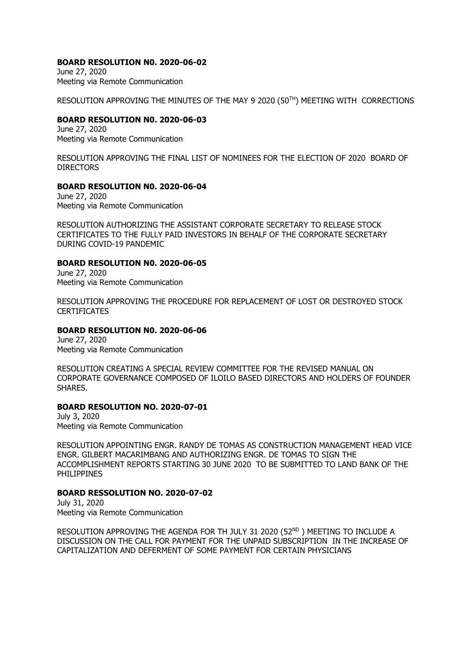### **BOARD RESOLUTION N0. 2020-06-02**

June 27, 2020 Meeting via Remote Communication

RESOLUTION APPROVING THE MINUTES OF THE MAY 9 2020 (50TH) MEETING WITH CORRECTIONS

#### **BOARD RESOLUTION N0. 2020-06-03**

June 27, 2020 Meeting via Remote Communication

RESOLUTION APPROVING THE FINAL LIST OF NOMINEES FOR THE ELECTION OF 2020 BOARD OF **DIRECTORS** 

#### **BOARD RESOLUTION N0. 2020-06-04**

June 27, 2020 Meeting via Remote Communication

RESOLUTION AUTHORIZING THE ASSISTANT CORPORATE SECRETARY TO RELEASE STOCK CERTIFICATES TO THE FULLY PAID INVESTORS IN BEHALF OF THE CORPORATE SECRETARY DURING COVID-19 PANDEMIC

#### **BOARD RESOLUTION N0. 2020-06-05**

June 27, 2020 Meeting via Remote Communication

RESOLUTION APPROVING THE PROCEDURE FOR REPLACEMENT OF LOST OR DESTROYED STOCK **CERTIFICATES** 

#### **BOARD RESOLUTION N0. 2020-06-06**

June 27, 2020 Meeting via Remote Communication

RESOLUTION CREATING A SPECIAL REVIEW COMMITTEE FOR THE REVISED MANUAL ON CORPORATE GOVERNANCE COMPOSED OF ILOILO BASED DIRECTORS AND HOLDERS OF FOUNDER SHARES.

## **BOARD RESOLUTION NO. 2020-07-01**

July 3, 2020 Meeting via Remote Communication

RESOLUTION APPOINTING ENGR. RANDY DE TOMAS AS CONSTRUCTION MANAGEMENT HEAD VICE ENGR. GILBERT MACARIMBANG AND AUTHORIZING ENGR. DE TOMAS TO SIGN THE ACCOMPLISHMENT REPORTS STARTING 30 JUNE 2020 TO BE SUBMITTED TO LAND BANK OF THE PHILIPPINES

## **BOARD RESSOLUTION NO. 2020-07-02**

July 31, 2020 Meeting via Remote Communication

RESOLUTION APPROVING THE AGENDA FOR TH JULY 31 2020 (52ND) MEETING TO INCLUDE A DISCUSSION ON THE CALL FOR PAYMENT FOR THE UNPAID SUBSCRIPTION IN THE INCREASE OF CAPITALIZATION AND DEFERMENT OF SOME PAYMENT FOR CERTAIN PHYSICIANS